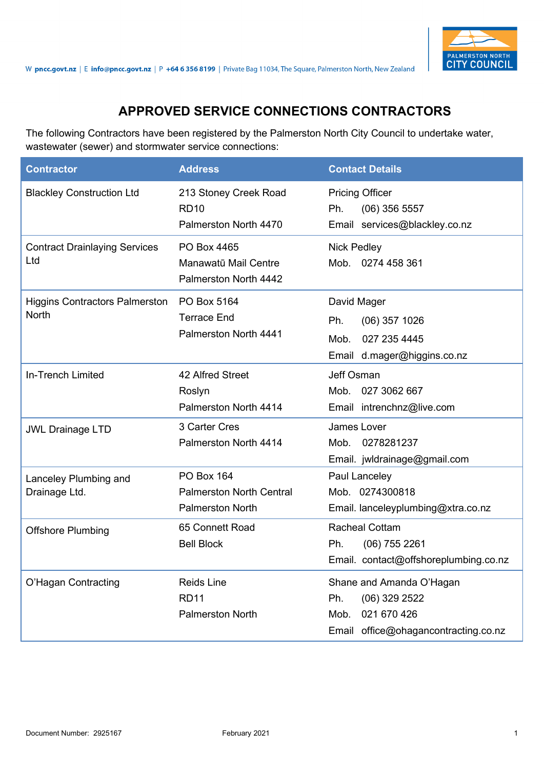

## **APPROVED SERVICE CONNECTIONS CONTRACTORS**

The following Contractors have been registered by the Palmerston North City Council to undertake water, wastewater (sewer) and stormwater service connections:

| <b>Contractor</b>                              | <b>Address</b>                                                                  | <b>Contact Details</b>                                                                                            |
|------------------------------------------------|---------------------------------------------------------------------------------|-------------------------------------------------------------------------------------------------------------------|
| <b>Blackley Construction Ltd</b>               | 213 Stoney Creek Road<br><b>RD10</b><br>Palmerston North 4470                   | <b>Pricing Officer</b><br>Ph.<br>$(06)$ 356 5557<br>Email services@blackley.co.nz                                 |
| <b>Contract Drainlaying Services</b><br>Ltd    | PO Box 4465<br>Manawatū Mail Centre<br>Palmerston North 4442                    | <b>Nick Pedley</b><br>Mob. 0274 458 361                                                                           |
| <b>Higgins Contractors Palmerston</b><br>North | PO Box 5164<br><b>Terrace End</b><br>Palmerston North 4441                      | David Mager<br>Ph.<br>$(06)$ 357 1026<br>027 235 4445<br>Mob.<br>Email d.mager@higgins.co.nz                      |
| <b>In-Trench Limited</b>                       | 42 Alfred Street<br>Roslyn<br>Palmerston North 4414                             | Jeff Osman<br>Mob.<br>027 3062 667<br>Email intrenchnz@live.com                                                   |
| <b>JWL Drainage LTD</b>                        | 3 Carter Cres<br>Palmerston North 4414                                          | James Lover<br>0278281237<br>Mob.<br>Email. jwldrainage@gmail.com                                                 |
| Lanceley Plumbing and<br>Drainage Ltd.         | <b>PO Box 164</b><br><b>Palmerston North Central</b><br><b>Palmerston North</b> | Paul Lanceley<br>Mob. 0274300818<br>Email. lanceleyplumbing@xtra.co.nz                                            |
| <b>Offshore Plumbing</b>                       | 65 Connett Road<br><b>Bell Block</b>                                            | <b>Racheal Cottam</b><br>Ph.<br>$(06)$ 755 2261<br>Email. contact@offshoreplumbing.co.nz                          |
| O'Hagan Contracting                            | <b>Reids Line</b><br><b>RD11</b><br><b>Palmerston North</b>                     | Shane and Amanda O'Hagan<br>Ph.<br>$(06)$ 329 2522<br>021 670 426<br>Mob.<br>Email office@ohagancontracting.co.nz |